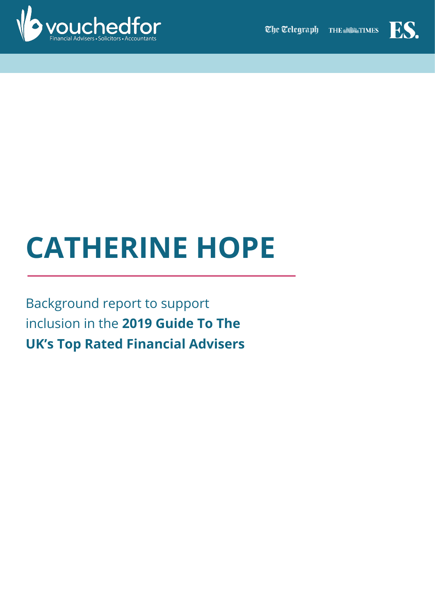



# **CATHERINE HOPE**

Background report to support inclusion in the **2019 Guide To The UK's Top Rated Financial Advisers**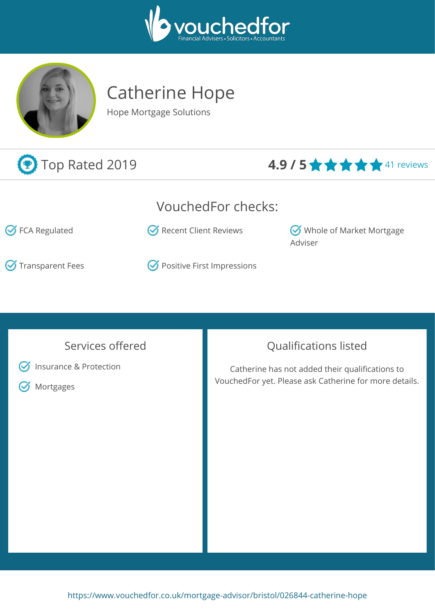



## Catherine Hope

Hope Mortgage Solutions

### **1.9 / 5 ★ ★ ★ ★** 41 reviews

### VouchedFor checks:

 $\heartsuit$  FCA Regulated  $\heartsuit$  Recent Client Reviews  $\heartsuit$  Whole of Market Mortgage

 $\bullet$  Transparent Fees  $\bullet$  Positive First Impressions

#### Services offered



**S** Insurance & Protection

**M** Mortgages

### Qualifications listed

Adviser

Catherine has not added their qualifications to VouchedFor yet. Please ask Catherine for more details.

<https://www.vouchedfor.co.uk/mortgage-advisor/bristol/026844-catherine-hope>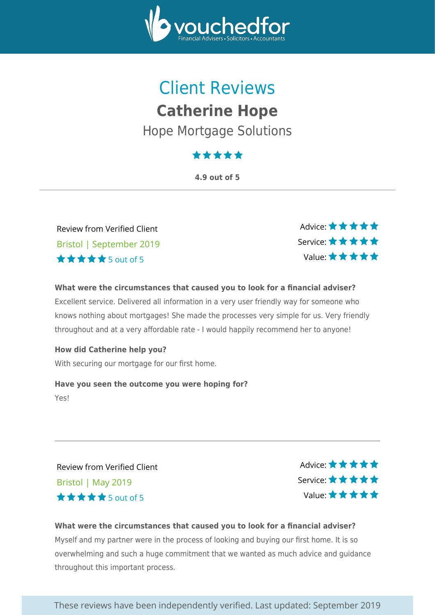

### Client Reviews **Catherine Hope** Hope Mortgage Solutions

### \*\*\*\*\*

**4.9 out of 5**

Review from Verified Client Bristol | September 2019 5 out of 5

Advice: ★ ★ ★ ★ ★ Service: Value:

**What were the circumstances that caused you to look for a financial adviser?** Excellent service. Delivered all information in a very user friendly way for someone who knows nothing about mortgages! She made the processes very simple for us. Very friendly throughout and at a very affordable rate - I would happily recommend her to anyone!

**How did Catherine help you?** With securing our mortgage for our first home.

**Have you seen the outcome you were hoping for?**

Yes!

Review from Verified Client Bristol | May 2019 5 out of 5

Advice: \* \* \* \* \* Service: Value:

#### **What were the circumstances that caused you to look for a financial adviser?**

Myself and my partner were in the process of looking and buying our first home. It is so overwhelming and such a huge commitment that we wanted as much advice and guidance throughout this important process.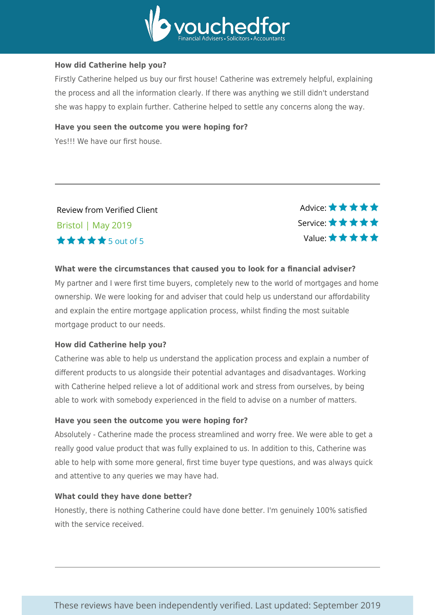

#### **How did Catherine help you?**

Firstly Catherine helped us buy our first house! Catherine was extremely helpful, explaining the process and all the information clearly. If there was anything we still didn't understand she was happy to explain further. Catherine helped to settle any concerns along the way.

#### **Have you seen the outcome you were hoping for?**

Yes!!! We have our first house.

#### Review from Verified Client Bristol | May 2019 5 out of 5

Advice:  $\star \star \star \star \star$ Service: Value:

#### **What were the circumstances that caused you to look for a financial adviser?**

My partner and I were first time buyers, completely new to the world of mortgages and home ownership. We were looking for and adviser that could help us understand our affordability and explain the entire mortgage application process, whilst finding the most suitable mortgage product to our needs.

#### **How did Catherine help you?**

Catherine was able to help us understand the application process and explain a number of different products to us alongside their potential advantages and disadvantages. Working with Catherine helped relieve a lot of additional work and stress from ourselves, by being able to work with somebody experienced in the field to advise on a number of matters.

#### **Have you seen the outcome you were hoping for?**

Absolutely - Catherine made the process streamlined and worry free. We were able to get a really good value product that was fully explained to us. In addition to this, Catherine was able to help with some more general, first time buyer type questions, and was always quick and attentive to any queries we may have had.

#### **What could they have done better?**

Honestly, there is nothing Catherine could have done better. I'm genuinely 100% satisfied with the service received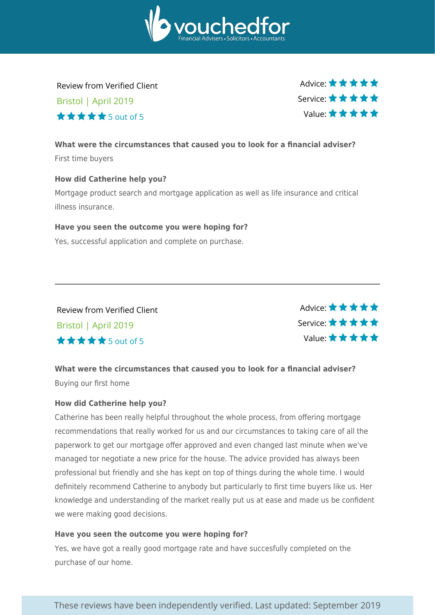

Review from Verified Client Bristol | April 2019  $\star \star \star \star$  5 out of 5

Advice:  $\star \star \star \star \star$ Service: Value:

#### **What were the circumstances that caused you to look for a financial adviser?** First time buyers

#### **How did Catherine help you?**

Mortgage product search and mortgage application as well as life insurance and critical illness insurance.

#### **Have you seen the outcome you were hoping for?**

Yes, successful application and complete on purchase.

Review from Verified Client Bristol | April 2019 5 out of 5

Advice: ★★★★★ Service: Value:

**What were the circumstances that caused you to look for a financial adviser?** Buying our first home

#### **How did Catherine help you?**

Catherine has been really helpful throughout the whole process, from offering mortgage recommendations that really worked for us and our circumstances to taking care of all the paperwork to get our mortgage offer approved and even changed last minute when we've managed tor negotiate a new price for the house. The advice provided has always been professional but friendly and she has kept on top of things during the whole time. I would definitely recommend Catherine to anybody but particularly to first time buyers like us. Her knowledge and understanding of the market really put us at ease and made us be confident we were making good decisions.

#### **Have you seen the outcome you were hoping for?**

Yes, we have got a really good mortgage rate and have succesfully completed on the purchase of our home.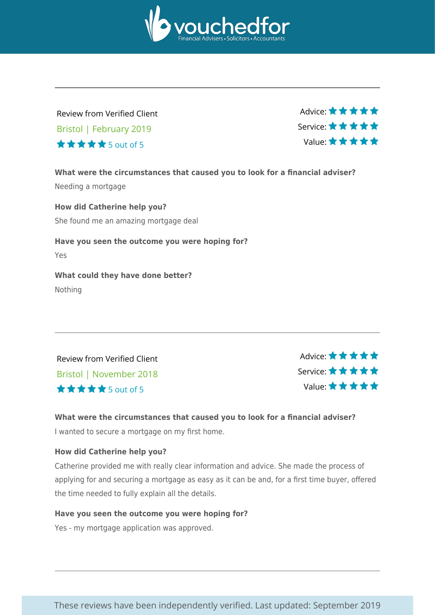

#### Review from Verified Client Bristol | February 2019 5 out of 5

Advice: ★ ★ ★ ★ ★ Service: Value:

**What were the circumstances that caused you to look for a financial adviser?** Needing a mortgage

**How did Catherine help you?** She found me an amazing mortgage deal

**Have you seen the outcome you were hoping for?** Yes

**What could they have done better?** Nothing

Review from Verified Client Bristol | November 2018 5 out of 5

Advice: ★★★★★ Service: Value:

#### **What were the circumstances that caused you to look for a financial adviser?**

I wanted to secure a mortgage on my first home.

#### **How did Catherine help you?**

Catherine provided me with really clear information and advice. She made the process of applying for and securing a mortgage as easy as it can be and, for a first time buyer, offered the time needed to fully explain all the details.

#### **Have you seen the outcome you were hoping for?**

Yes - my mortgage application was approved.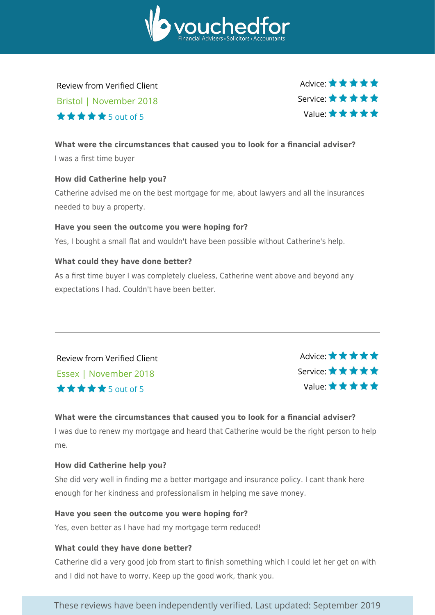

Review from Verified Client Bristol | November 2018 5 out of 5

Advice:  $\star \star \star \star \star$ Service: Value:

#### **What were the circumstances that caused you to look for a financial adviser?** I was a first time buyer

#### **How did Catherine help you?**

Catherine advised me on the best mortgage for me, about lawyers and all the insurances needed to buy a property.

#### **Have you seen the outcome you were hoping for?**

Yes, I bought a small flat and wouldn't have been possible without Catherine's help.

#### **What could they have done better?**

As a first time buyer I was completely clueless, Catherine went above and beyond any expectations I had. Couldn't have been better.

Review from Verified Client Essex | November 2018 5 out of 5



#### **What were the circumstances that caused you to look for a financial adviser?**

I was due to renew my mortgage and heard that Catherine would be the right person to help me.

#### **How did Catherine help you?**

She did very well in finding me a better mortgage and insurance policy. I cant thank here enough for her kindness and professionalism in helping me save money.

#### **Have you seen the outcome you were hoping for?**

Yes, even better as I have had my mortgage term reduced!

#### **What could they have done better?**

Catherine did a very good job from start to finish something which I could let her get on with and I did not have to worry. Keep up the good work, thank you.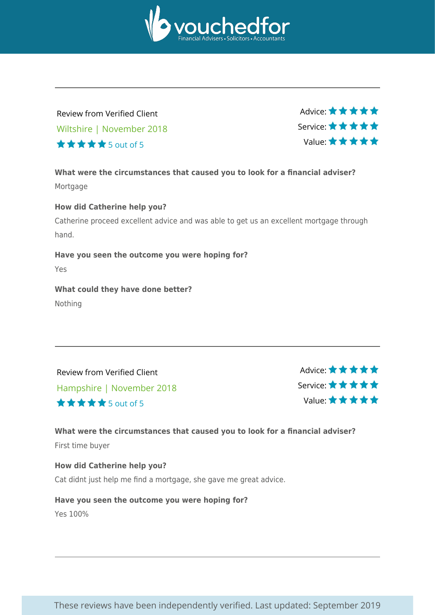

#### Review from Verified Client Wiltshire | November 2018 5 out of 5

Advice: ★ ★ ★ ★ ★ Service: Value:

**What were the circumstances that caused you to look for a financial adviser?** Mortgage

#### **How did Catherine help you?**

Catherine proceed excellent advice and was able to get us an excellent mortgage through hand.

#### **Have you seen the outcome you were hoping for?**

Yes

#### **What could they have done better?** Nothing

Review from Verified Client Hampshire | November 2018 5 out of 5

Advice: \* \* \* \* \* Service: Value:

#### **What were the circumstances that caused you to look for a financial adviser?** First time buyer

**How did Catherine help you?** Cat didnt just help me find a mortgage, she gave me great advice.

**Have you seen the outcome you were hoping for?** Yes 100%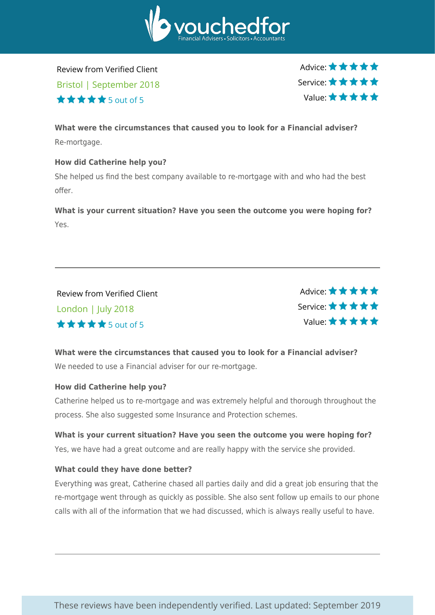

Review from Verified Client Bristol | September 2018 5 out of 5

Advice:  $\star \star \star \star \star$ Service: Value:

**What were the circumstances that caused you to look for a Financial adviser?** Re-mortgage.

#### **How did Catherine help you?**

She helped us find the best company available to re-mortgage with and who had the best offer.

**What is your current situation? Have you seen the outcome you were hoping for?** Yes.

Review from Verified Client London | July 2018 5 out of 5

Advice: \*\*\*\*\* Service: Value:

**What were the circumstances that caused you to look for a Financial adviser?** We needed to use a Financial adviser for our re-mortgage.

#### **How did Catherine help you?**

Catherine helped us to re-mortgage and was extremely helpful and thorough throughout the process. She also suggested some Insurance and Protection schemes.

**What is your current situation? Have you seen the outcome you were hoping for?** Yes, we have had a great outcome and are really happy with the service she provided.

#### **What could they have done better?**

Everything was great, Catherine chased all parties daily and did a great job ensuring that the re-mortgage went through as quickly as possible. She also sent follow up emails to our phone calls with all of the information that we had discussed, which is always really useful to have.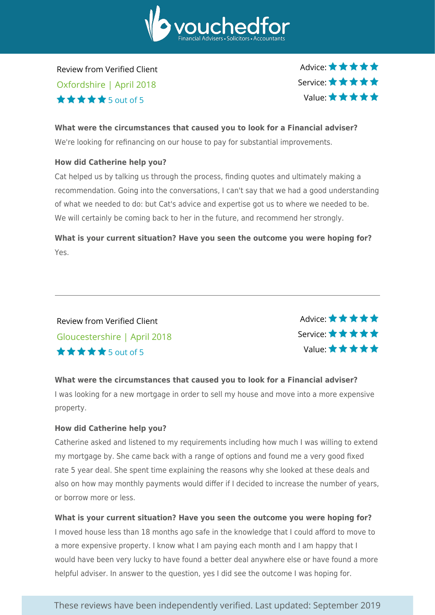

Review from Verified Client Oxfordshire | April 2018  $\star \star \star \star$  5 out of 5

Advice:  $\star \star \star \star \star$ Service: Value:

#### **What were the circumstances that caused you to look for a Financial adviser?**

We're looking for refinancing on our house to pay for substantial improvements.

#### **How did Catherine help you?**

Cat helped us by talking us through the process, finding quotes and ultimately making a recommendation. Going into the conversations, I can't say that we had a good understanding of what we needed to do: but Cat's advice and expertise got us to where we needed to be. We will certainly be coming back to her in the future, and recommend her strongly.

**What is your current situation? Have you seen the outcome you were hoping for?** Yes.

#### Review from Verified Client Gloucestershire | April 2018 5 out of 5

Advice: \* \* \* \* \* Service: Value:

#### **What were the circumstances that caused you to look for a Financial adviser?**

I was looking for a new mortgage in order to sell my house and move into a more expensive property.

#### **How did Catherine help you?**

Catherine asked and listened to my requirements including how much I was willing to extend my mortgage by. She came back with a range of options and found me a very good fixed rate 5 year deal. She spent time explaining the reasons why she looked at these deals and also on how may monthly payments would differ if I decided to increase the number of years, or borrow more or less.

#### **What is your current situation? Have you seen the outcome you were hoping for?**

I moved house less than 18 months ago safe in the knowledge that I could afford to move to a more expensive property. I know what I am paying each month and I am happy that I would have been very lucky to have found a better deal anywhere else or have found a more helpful adviser. In answer to the question, yes I did see the outcome I was hoping for.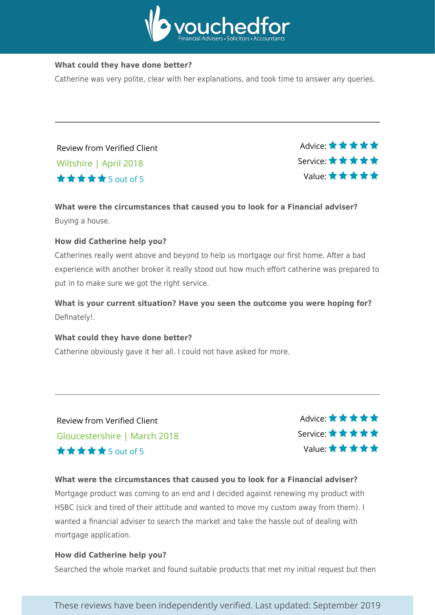

#### **What could they have done better?**

Catherine was very polite, clear with her explanations, and took time to answer any queries.

Review from Verified Client Wiltshire | April 2018  $\star \star \star \star$  5 out of 5

Advice: \* \* \* \* \* Service: Value:

#### **What were the circumstances that caused you to look for a Financial adviser?** Buying a house.

#### **How did Catherine help you?**

Catherines really went above and beyond to help us mortgage our first home. After a bad experience with another broker it really stood out how much effort catherine was prepared to put in to make sure we got the right service.

**What is your current situation? Have you seen the outcome you were hoping for?** Definately!.

#### **What could they have done better?**

Catherine obviously gave it her all. I could not have asked for more.

Review from Verified Client Gloucestershire | March 2018 5 out of 5

Advice:  $\star \star \star \star \star$ Service: Value:

#### **What were the circumstances that caused you to look for a Financial adviser?**

Mortgage product was coming to an end and I decided against renewing my product with HSBC (sick and tired of their attitude and wanted to move my custom away from them). I wanted a financial adviser to search the market and take the hassle out of dealing with mortgage application.

#### **How did Catherine help you?**

Searched the whole market and found suitable products that met my initial request but then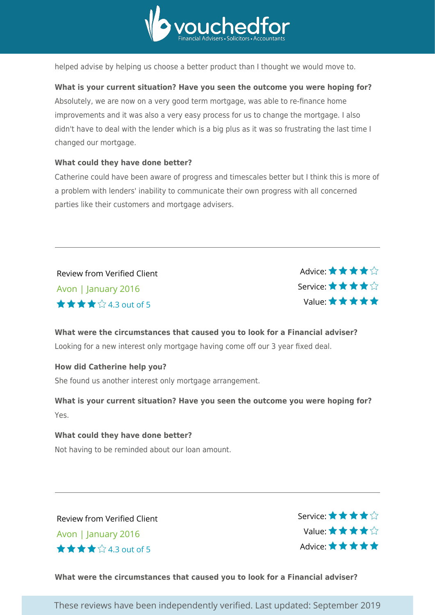

helped advise by helping us choose a better product than I thought we would move to.

#### **What is your current situation? Have you seen the outcome you were hoping for?**

Absolutely, we are now on a very good term mortgage, was able to re-finance home improvements and it was also a very easy process for us to change the mortgage. I also didn't have to deal with the lender which is a big plus as it was so frustrating the last time I changed our mortgage.

#### **What could they have done better?**

Catherine could have been aware of progress and timescales better but I think this is more of a problem with lenders' inability to communicate their own progress with all concerned parties like their customers and mortgage advisers.

Review from Verified Client Avon | January 2016 4.3 out of 5

Advice: \* \* \* \* \* Service: Value:

#### **What were the circumstances that caused you to look for a Financial adviser?**

Looking for a new interest only mortgage having come off our 3 year fixed deal.

#### **How did Catherine help you?**

She found us another interest only mortgage arrangement.

**What is your current situation? Have you seen the outcome you were hoping for?** Yes.

#### **What could they have done better?**

Not having to be reminded about our loan amount.

Review from Verified Client Avon | January 2016 4.3 out of 5

Service: \* \* \* \* \* Value: Advice:  $\star \star \star \star \star$ 

#### **What were the circumstances that caused you to look for a Financial adviser?**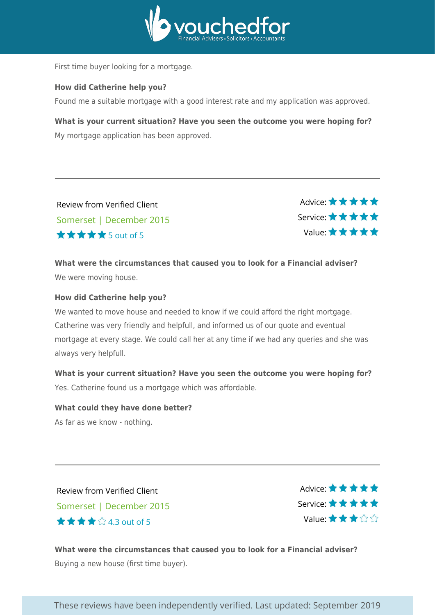

First time buyer looking for a mortgage.

#### **How did Catherine help you?**

Found me a suitable mortgage with a good interest rate and my application was approved.

**What is your current situation? Have you seen the outcome you were hoping for?** My mortgage application has been approved.

Review from Verified Client Somerset | December 2015  $\star \star \star \star$ 5 out of 5

Advice: \* \* \* \* \* Service: Value:

**What were the circumstances that caused you to look for a Financial adviser?** We were moving house.

#### **How did Catherine help you?**

We wanted to move house and needed to know if we could afford the right mortgage. Catherine was very friendly and helpfull, and informed us of our quote and eventual mortgage at every stage. We could call her at any time if we had any queries and she was always very helpfull.

**What is your current situation? Have you seen the outcome you were hoping for?** Yes. Catherine found us a mortgage which was affordable.

### **What could they have done better?**

As far as we know - nothing.

Review from Verified Client Somerset | December 2015 4.3 out of 5

Advice: \* \* \* \* \* Service: Value:

**What were the circumstances that caused you to look for a Financial adviser?** Buying a new house (first time buyer).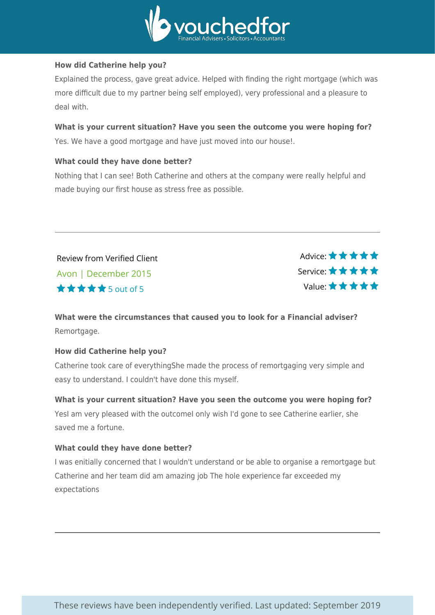

#### **How did Catherine help you?**

Explained the process, gave great advice. Helped with finding the right mortgage (which was more difficult due to my partner being self employed), very professional and a pleasure to deal with.

#### **What is your current situation? Have you seen the outcome you were hoping for?** Yes. We have a good mortgage and have just moved into our house!.

#### **What could they have done better?**

Nothing that I can see! Both Catherine and others at the company were really helpful and made buying our first house as stress free as possible.

Review from Verified Client Avon | December 2015  $\star \star \star \star$  5 out of 5

Advice: \*\*\*\*\* Service: Value:

#### **What were the circumstances that caused you to look for a Financial adviser?** Remortgage.

#### **How did Catherine help you?**

Catherine took care of everythingShe made the process of remortgaging very simple and easy to understand. I couldn't have done this myself.

**What is your current situation? Have you seen the outcome you were hoping for?** YesI am very pleased with the outcomeI only wish I'd gone to see Catherine earlier, she saved me a fortune.

#### **What could they have done better?**

I was enitially concerned that I wouldn't understand or be able to organise a remortgage but Catherine and her team did am amazing job The hole experience far exceeded my expectations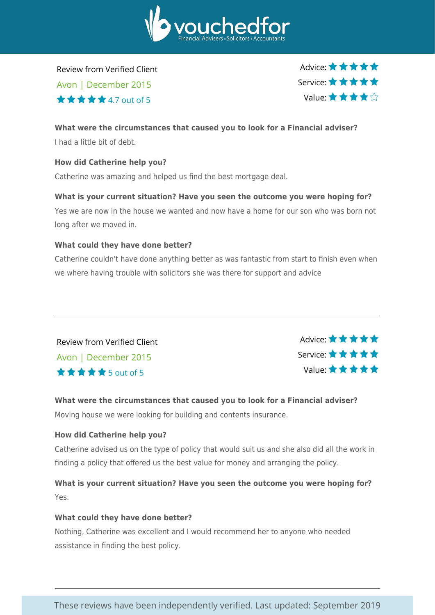

Review from Verified Client

Avon | December 2015  $\star \star \star \star$ 4.7 out of 5

Advice:  $\star \star \star \star \star$ Service: Value:

#### **What were the circumstances that caused you to look for a Financial adviser?**

I had a little bit of debt.

#### **How did Catherine help you?**

Catherine was amazing and helped us find the best mortgage deal.

#### **What is your current situation? Have you seen the outcome you were hoping for?**

Yes we are now in the house we wanted and now have a home for our son who was born not long after we moved in.

#### **What could they have done better?**

Catherine couldn't have done anything better as was fantastic from start to finish even when we where having trouble with solicitors she was there for support and advice

Review from Verified Client Avon | December 2015 5 out of 5



#### **What were the circumstances that caused you to look for a Financial adviser?** Moving house we were looking for building and contents insurance.

#### **How did Catherine help you?**

Catherine advised us on the type of policy that would suit us and she also did all the work in finding a policy that offered us the best value for money and arranging the policy.

**What is your current situation? Have you seen the outcome you were hoping for?** Yes.

#### **What could they have done better?**

Nothing, Catherine was excellent and I would recommend her to anyone who needed assistance in finding the best policy.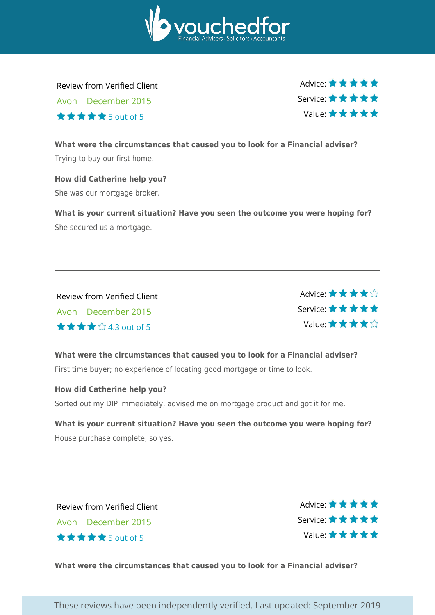

Review from Verified Client Avon | December 2015

5 out of 5

Advice:  $\star \star \star \star \star$ Service: Value:

**What were the circumstances that caused you to look for a Financial adviser?** Trying to buy our first home.

**How did Catherine help you?** She was our mortgage broker.

**What is your current situation? Have you seen the outcome you were hoping for?** She secured us a mortgage.

Review from Verified Client Avon | December 2015 4.3 out of 5



**What were the circumstances that caused you to look for a Financial adviser?** First time buyer; no experience of locating good mortgage or time to look.

#### **How did Catherine help you?**

Sorted out my DIP immediately, advised me on mortgage product and got it for me.

**What is your current situation? Have you seen the outcome you were hoping for?** House purchase complete, so yes.

Review from Verified Client Avon | December 2015  $\star \star \star \star$  5 out of 5

Advice: ★ ★ ★ ★ ★ Service: Value:

**What were the circumstances that caused you to look for a Financial adviser?**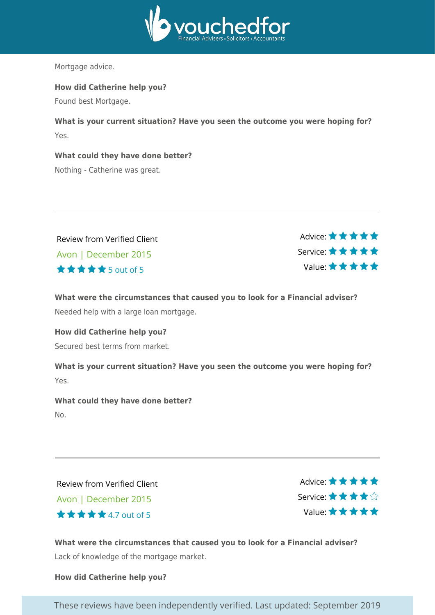

Mortgage advice.

**How did Catherine help you?**

Found best Mortgage.

**What is your current situation? Have you seen the outcome you were hoping for?** Yes.

**What could they have done better?** Nothing - Catherine was great.

| <b>Review from Verified Client</b> |
|------------------------------------|
| Avon   December 2015               |
| <b>★★★★★</b> 5out of 5             |



**What were the circumstances that caused you to look for a Financial adviser?** Needed help with a large loan mortgage.

#### **How did Catherine help you?**

Secured best terms from market.

**What is your current situation? Have you seen the outcome you were hoping for?** Yes.

**What could they have done better?** No.

Review from Verified Client Avon | December 2015 4.7 out of 5

Advice: ★ ★ ★ ★ ★ Service: Value:

**What were the circumstances that caused you to look for a Financial adviser?** Lack of knowledge of the mortgage market.

#### **How did Catherine help you?**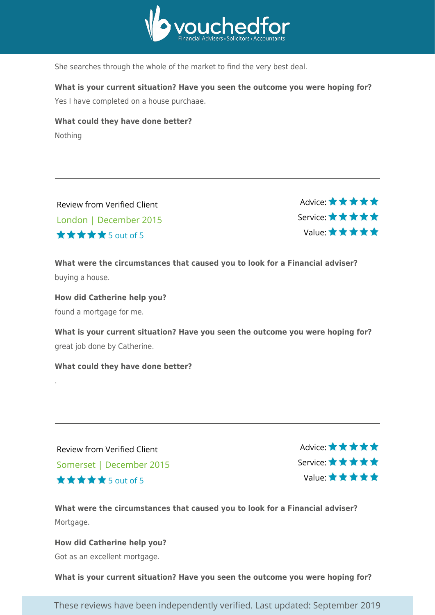

She searches through the whole of the market to find the very best deal.

**What is your current situation? Have you seen the outcome you were hoping for?**

Yes I have completed on a house purchaae.

**What could they have done better?** Nothing

Review from Verified Client London | December 2015  $\star \star \star \star$ 5 out of 5

Advice: \* \* \* \* \* Service: Value:

**What were the circumstances that caused you to look for a Financial adviser?** buying a house.

**How did Catherine help you?** found a mortgage for me.

**What is your current situation? Have you seen the outcome you were hoping for?** great job done by Catherine.

**What could they have done better?**

.

Review from Verified Client Somerset | December 2015 5 out of 5

Advice: \* \* \* \* \* Service: Value:

**What were the circumstances that caused you to look for a Financial adviser?** Mortgage.

**How did Catherine help you?** Got as an excellent mortgage.

**What is your current situation? Have you seen the outcome you were hoping for?**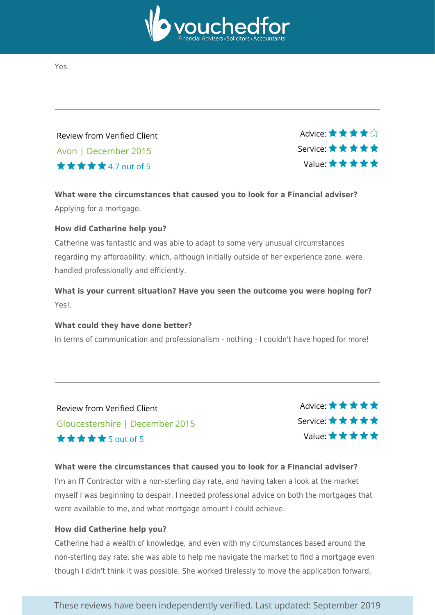

Yes.

Review from Verified Client Avon | December 2015 4.7 out of 5

Advice:  $\star \star \star$ Service: Value:

**What were the circumstances that caused you to look for a Financial adviser?** Applying for a mortgage.

#### **How did Catherine help you?**

Catherine was fantastic and was able to adapt to some very unusual circumstances regarding my affordability, which, although initially outside of her experience zone, were handled professionally and efficiently.

**What is your current situation? Have you seen the outcome you were hoping for?** Yes!.

#### **What could they have done better?**

In terms of communication and professionalism - nothing - I couldn't have hoped for more!

Review from Verified Client Gloucestershire | December 2015 5 out of 5

Advice: \* \* \* \* \* Service: Value:

#### **What were the circumstances that caused you to look for a Financial adviser?**

I'm an IT Contractor with a non-sterling day rate, and having taken a look at the market myself I was beginning to despair. I needed professional advice on both the mortgages that were available to me, and what mortgage amount I could achieve.

#### **How did Catherine help you?**

Catherine had a wealth of knowledge, and even with my circumstances based around the non-sterling day rate, she was able to help me navigate the market to find a mortgage even though I didn't think it was possible. She worked tirelessly to move the application forward,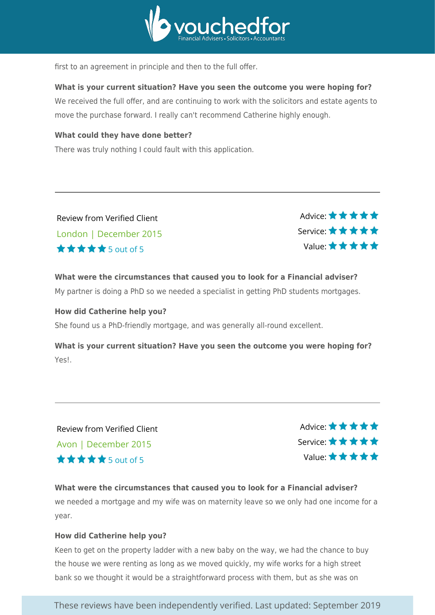

first to an agreement in principle and then to the full offer.

#### **What is your current situation? Have you seen the outcome you were hoping for?**

We received the full offer, and are continuing to work with the solicitors and estate agents to move the purchase forward. I really can't recommend Catherine highly enough.

#### **What could they have done better?**

There was truly nothing I could fault with this application.

Review from Verified Client London | December 2015  $\star \star \star \star$  5 out of 5

Advice: ★★★★★ Service: Value:

**What were the circumstances that caused you to look for a Financial adviser?** My partner is doing a PhD so we needed a specialist in getting PhD students mortgages.

#### **How did Catherine help you?**

She found us a PhD-friendly mortgage, and was generally all-round excellent.

**What is your current situation? Have you seen the outcome you were hoping for?** Yes!.

Review from Verified Client Avon | December 2015  $\star \star \star \star$  5 out of 5

Advice: \*\*\*\*\* Service: Value:

### **What were the circumstances that caused you to look for a Financial adviser?**

we needed a mortgage and my wife was on maternity leave so we only had one income for a year.

#### **How did Catherine help you?**

Keen to get on the property ladder with a new baby on the way, we had the chance to buy the house we were renting as long as we moved quickly, my wife works for a high street bank so we thought it would be a straightforward process with them, but as she was on